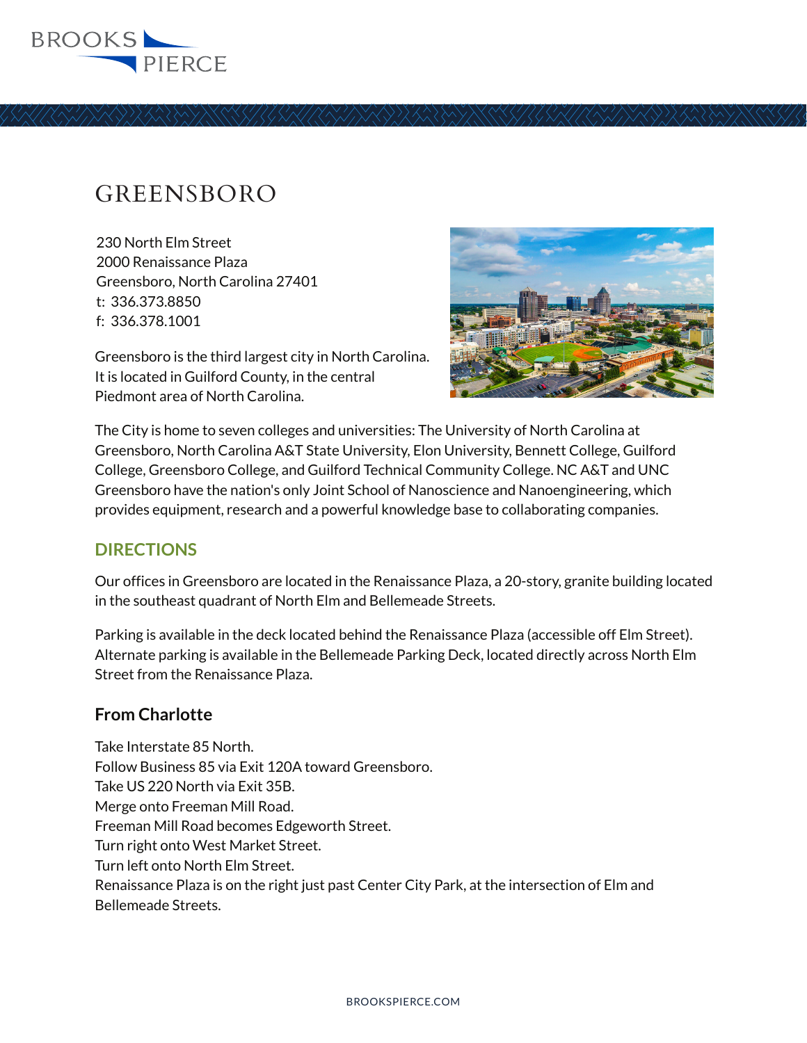

# GREENSBORO

230 North Elm Street 2000 Renaissance Plaza Greensboro, North Carolina 27401 t: 336.373.8850 f: 336.378.1001

Greensboro is the third largest city in North Carolina. It is located in Guilford County, in the central Piedmont area of North Carolina.



The City is home to seven colleges and universities: The University of North Carolina at Greensboro, North Carolina A&T State University, Elon University, Bennett College, Guilford College, Greensboro College, and Guilford Technical Community College. NC A&T and UNC Greensboro have the nation's only Joint School of Nanoscience and Nanoengineering, which provides equipment, research and a powerful knowledge base to collaborating companies.

## **DIRECTIONS**

Our offices in Greensboro are located in the Renaissance Plaza, a 20-story, granite building located in the southeast quadrant of North Elm and Bellemeade Streets.

Parking is available in the deck located behind the Renaissance Plaza (accessible off Elm Street). Alternate parking is available in the Bellemeade Parking Deck, located directly across North Elm Street from the Renaissance Plaza.

## **From Charlotte**

Take Interstate 85 North. Follow Business 85 via Exit 120A toward Greensboro. Take US 220 North via Exit 35B. Merge onto Freeman Mill Road. Freeman Mill Road becomes Edgeworth Street. Turn right onto West Market Street. Turn left onto North Elm Street. Renaissance Plaza is on the right just past Center City Park, at the intersection of Elm and Bellemeade Streets.